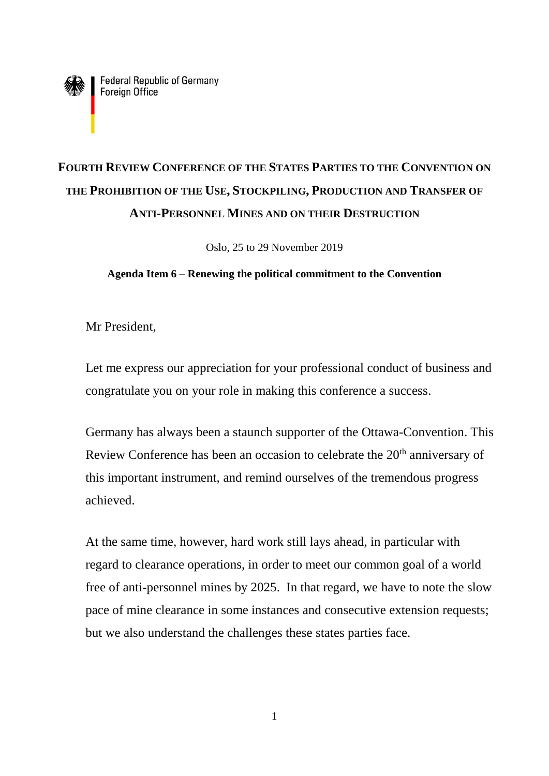**Federal Republic of Germany**<br>Foreign Office

## **FOURTH REVIEW CONFERENCE OF THE STATES PARTIES TO THE CONVENTION ON THE PROHIBITION OF THE USE, STOCKPILING, PRODUCTION AND TRANSFER OF ANTI-PERSONNEL MINES AND ON THEIR DESTRUCTION**

Oslo, 25 to 29 November 2019

**Agenda Item 6 – Renewing the political commitment to the Convention**

Mr President,

Let me express our appreciation for your professional conduct of business and congratulate you on your role in making this conference a success.

Germany has always been a staunch supporter of the Ottawa-Convention. This Review Conference has been an occasion to celebrate the  $20<sup>th</sup>$  anniversary of this important instrument, and remind ourselves of the tremendous progress achieved.

At the same time, however, hard work still lays ahead, in particular with regard to clearance operations, in order to meet our common goal of a world free of anti-personnel mines by 2025. In that regard, we have to note the slow pace of mine clearance in some instances and consecutive extension requests; but we also understand the challenges these states parties face.

1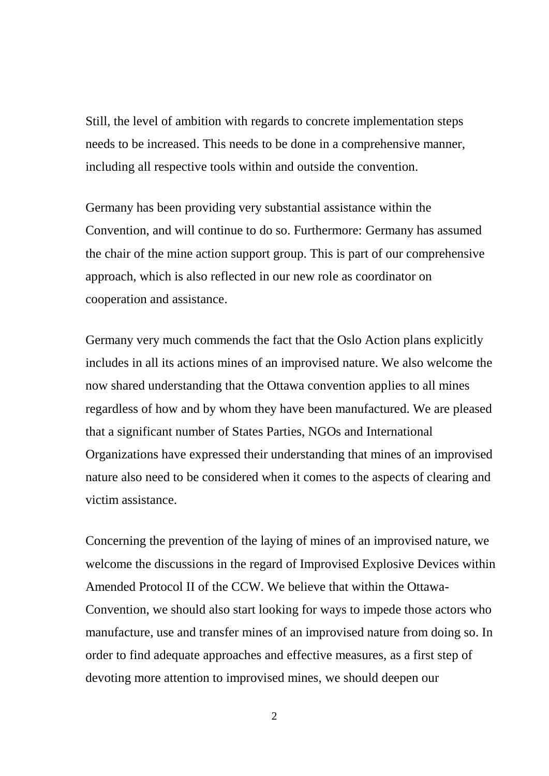Still, the level of ambition with regards to concrete implementation steps needs to be increased. This needs to be done in a comprehensive manner, including all respective tools within and outside the convention.

Germany has been providing very substantial assistance within the Convention, and will continue to do so. Furthermore: Germany has assumed the chair of the mine action support group. This is part of our comprehensive approach, which is also reflected in our new role as coordinator on cooperation and assistance.

Germany very much commends the fact that the Oslo Action plans explicitly includes in all its actions mines of an improvised nature. We also welcome the now shared understanding that the Ottawa convention applies to all mines regardless of how and by whom they have been manufactured. We are pleased that a significant number of States Parties, NGOs and International Organizations have expressed their understanding that mines of an improvised nature also need to be considered when it comes to the aspects of clearing and victim assistance.

Concerning the prevention of the laying of mines of an improvised nature, we welcome the discussions in the regard of Improvised Explosive Devices within Amended Protocol II of the CCW. We believe that within the Ottawa-Convention, we should also start looking for ways to impede those actors who manufacture, use and transfer mines of an improvised nature from doing so. In order to find adequate approaches and effective measures, as a first step of devoting more attention to improvised mines, we should deepen our

2